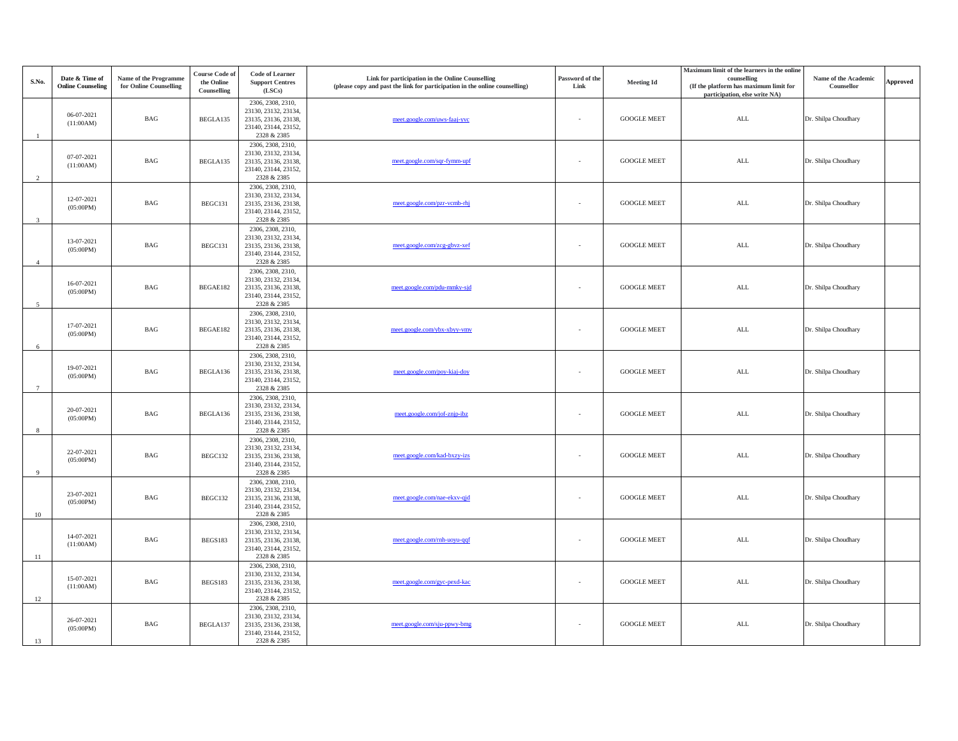| S.No.           | Date & Time of<br><b>Online Counseling</b> | Name of the Programme<br>for Online Counselling | <b>Course Code of</b><br>the Online | <b>Code of Learner</b><br><b>Support Centres</b>                                                         | Link for participation in the Online Counselling<br>(please copy and past the link for participation in the online counselling) | Password of the<br>Link | <b>Meeting Id</b>  | Maximum limit of the learners in the online<br>counselling<br>(If the platform has maximum limit for | Name of the Academic<br>Counsellor | <b>Approved</b> |
|-----------------|--------------------------------------------|-------------------------------------------------|-------------------------------------|----------------------------------------------------------------------------------------------------------|---------------------------------------------------------------------------------------------------------------------------------|-------------------------|--------------------|------------------------------------------------------------------------------------------------------|------------------------------------|-----------------|
|                 |                                            |                                                 | Counselling                         | (LSCs)                                                                                                   |                                                                                                                                 |                         |                    | participation, else write NA)                                                                        |                                    |                 |
| $\overline{1}$  | 06-07-2021<br>(11:00AM)                    | <b>BAG</b>                                      | BEGLA135                            | 2306, 2308, 2310,<br>23130, 23132, 23134,<br>23135, 23136, 23138,<br>23140, 23144, 23152,<br>2328 & 2385 | meet.google.com/uws-faaj-yvc                                                                                                    |                         | <b>GOOGLE MEET</b> | $\mbox{ALL}$                                                                                         | Dr. Shilpa Choudhary               |                 |
| 2               | 07-07-2021<br>(11:00AM)                    | BAG                                             | BEGLA135                            | 2306, 2308, 2310,<br>23130, 23132, 23134,<br>23135, 23136, 23138,<br>23140, 23144, 23152,<br>2328 & 2385 | meet.google.com/sqr-fymm-upf                                                                                                    |                         | <b>GOOGLE MEET</b> | <b>ALL</b>                                                                                           | Dr. Shilpa Choudhary               |                 |
| $\overline{3}$  | 12-07-2021<br>(05:00PM)                    | BAG                                             | BEGC131                             | 2306, 2308, 2310,<br>23130, 23132, 23134,<br>23135, 23136, 23138,<br>23140, 23144, 23152,<br>2328 & 2385 | meet.google.com/pzr-vcmb-rhj                                                                                                    |                         | <b>GOOGLE MEET</b> | <b>ALL</b>                                                                                           | Dr. Shilpa Choudhary               |                 |
| $\overline{4}$  | 13-07-2021<br>(05:00PM)                    | <b>BAG</b>                                      | BEGC131                             | 2306, 2308, 2310,<br>23130, 23132, 23134,<br>23135, 23136, 23138,<br>23140, 23144, 23152,<br>2328 & 2385 | meet.google.com/zcg-gbvz-xef                                                                                                    |                         | <b>GOOGLE MEET</b> | <b>ALL</b>                                                                                           | Dr. Shilpa Choudhary               |                 |
| 5               | 16-07-2021<br>(05:00PM)                    | <b>BAG</b>                                      | BEGAE182                            | 2306, 2308, 2310,<br>23130, 23132, 23134,<br>23135, 23136, 23138,<br>23140, 23144, 23152,<br>2328 & 2385 | meet.google.com/pdu-mmky-sjd                                                                                                    |                         | <b>GOOGLE MEET</b> | ALL                                                                                                  | Dr. Shilpa Choudhary               |                 |
| 6               | 17-07-2021<br>(05:00PM)                    | <b>BAG</b>                                      | BEGAE182                            | 2306, 2308, 2310,<br>23130, 23132, 23134,<br>23135, 23136, 23138,<br>23140, 23144, 23152,<br>2328 & 2385 | meet.google.com/ybx-xbyy-vmv                                                                                                    |                         | <b>GOOGLE MEET</b> | <b>ALL</b>                                                                                           | Dr. Shilpa Choudhary               |                 |
| $7\overline{ }$ | 19-07-2021<br>(05:00PM)                    | $_{\rm BAG}$                                    | BEGLA136                            | 2306, 2308, 2310,<br>23130, 23132, 23134,<br>23135, 23136, 23138,<br>23140, 23144, 23152,<br>2328 & 2385 | meet.google.com/poy-kiaj-doy                                                                                                    |                         | <b>GOOGLE MEET</b> | <b>ALL</b>                                                                                           | Dr. Shilpa Choudhary               |                 |
| 8               | 20-07-2021<br>(05:00PM)                    | BAG                                             | BEGLA136                            | 2306, 2308, 2310,<br>23130, 23132, 23134,<br>23135, 23136, 23138,<br>23140, 23144, 23152,<br>2328 & 2385 | meet.google.com/jof-znjp-ibz                                                                                                    | $\sim$                  | <b>GOOGLE MEET</b> | <b>ALL</b>                                                                                           | Dr. Shilpa Choudhary               |                 |
| 9               | 22-07-2021<br>(05:00PM)                    | BAG                                             | BEGC132                             | 2306, 2308, 2310,<br>23130, 23132, 23134,<br>23135, 23136, 23138,<br>23140, 23144, 23152,<br>2328 & 2385 | meet.google.com/kad-bxzy-izs                                                                                                    |                         | <b>GOOGLE MEET</b> | <b>ALL</b>                                                                                           | Dr. Shilpa Choudhary               |                 |
| 10              | 23-07-2021<br>(05:00PM)                    | BAG                                             | BEGC132                             | 2306, 2308, 2310,<br>23130, 23132, 23134,<br>23135, 23136, 23138,<br>23140, 23144, 23152,<br>2328 & 2385 | meet.google.com/nae-ekxv-qjd                                                                                                    |                         | <b>GOOGLE MEET</b> | $\mbox{ALL}$                                                                                         | Dr. Shilpa Choudhary               |                 |
| 11              | 14-07-2021<br>(11:00AM)                    | BAG                                             | BEGS183                             | 2306, 2308, 2310,<br>23130, 23132, 23134,<br>23135, 23136, 23138,<br>23140, 23144, 23152,<br>2328 & 2385 | meet.google.com/rnh-uoyu-qqf                                                                                                    |                         | <b>GOOGLE MEET</b> | $\mbox{ALL}$                                                                                         | Dr. Shilpa Choudhary               |                 |
| 12              | 15-07-2021<br>(11:00AM)                    | BAG                                             | BEGS183                             | 2306, 2308, 2310,<br>23130, 23132, 23134,<br>23135, 23136, 23138,<br>23140, 23144, 23152,<br>2328 & 2385 | meet.google.com/gyc-pexd-kac                                                                                                    |                         | <b>GOOGLE MEET</b> | <b>ALL</b>                                                                                           | Dr. Shilpa Choudhary               |                 |
| 13              | 26-07-2021<br>(05:00PM)                    | BAG                                             | BEGLA137                            | 2306, 2308, 2310,<br>23130, 23132, 23134,<br>23135, 23136, 23138,<br>23140, 23144, 23152,<br>2328 & 2385 | meet.google.com/sju-ppwy-bmg                                                                                                    |                         | <b>GOOGLE MEET</b> | <b>ALL</b>                                                                                           | Dr. Shilpa Choudhary               |                 |